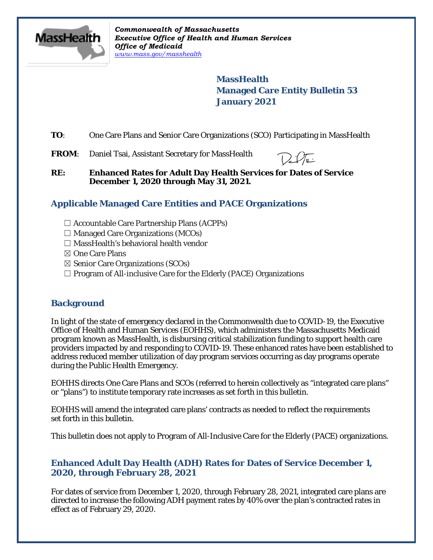

*Commonwealth of Massachusetts Executive Office of Health and Human Services Office of Medicaid [www.mass.gov/masshealth](http://www.mass.gov/masshealth)*

> **MassHealth Managed Care Entity Bulletin 53 January 2021**

**TO:** One Care Plans and Senior Care Organizations (SCO) Participating in MassHealth

FROM: Daniel Tsai, Assistant Secretary for MassHealth

**RE: Enhanced Rates for Adult Day Health Services for Dates of Service December 1, 2020 through May 31, 2021.**

# **Applicable Managed Care Entities and PACE Organizations**

- $\Box$  Accountable Care Partnership Plans (ACPPs)
- $\Box$  Managed Care Organizations (MCOs)
- $\Box$  MassHealth's behavioral health vendor
- ☒ One Care Plans
- ☒ Senior Care Organizations (SCOs)
- $\Box$  Program of All-inclusive Care for the Elderly (PACE) Organizations

# **Background**

In light of the state of emergency declared in the Commonwealth due to COVID-19, the Executive Office of Health and Human Services (EOHHS), which administers the Massachusetts Medicaid program known as MassHealth, is disbursing critical stabilization funding to support health care providers impacted by and responding to COVID-19. These enhanced rates have been established to address reduced member utilization of day program services occurring as day programs operate during the Public Health Emergency.

EOHHS directs One Care Plans and SCOs (referred to herein collectively as "integrated care plans" or "plans") to institute temporary rate increases as set forth in this bulletin.

EOHHS will amend the integrated care plans' contracts as needed to reflect the requirements set forth in this bulletin.

This bulletin does not apply to Program of All-Inclusive Care for the Elderly (PACE) organizations.

### **Enhanced Adult Day Health (ADH) Rates for Dates of Service December 1, 2020, through February 28, 2021**

For dates of service from December 1, 2020, through February 28, 2021, integrated care plans are directed to increase the following ADH payment rates by 40% over the plan's contracted rates in effect as of February 29, 2020.